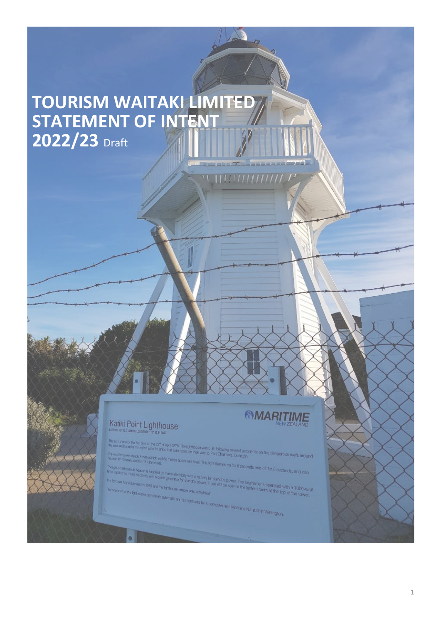# **TOURISM WAITAKI LIMITED STATEMENT OF INTENT 2022/23** Draft

# Katiki Point Lighthouse

# **SMARITIME**

of April 1878. The lighthouse w ast on their was built following several actions

efree above sea level. This light flashes on for 8 seconds and off for 8 seconds, and can<br>-<br>If electricity with a summer

Thens electricity with a battery for standby power. The original lens operated with a 1000-watt<br>"generator for standby power, it can still be seen in the lantern room at the top of the tower,<br>formouse keeper was withdrawn, 1975 and the lightho matic and is monitored by a computer and Maritime NZ staff in Welfington,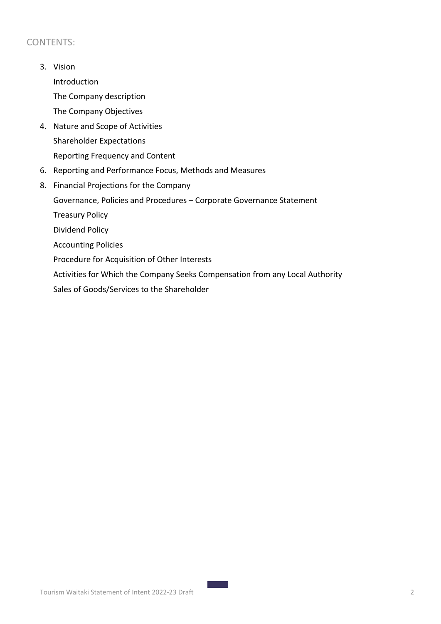## CONTENTS:

3. Vision

Introduction The Company description

The Company Objectives

- 4. Nature and Scope of Activities Shareholder Expectations Reporting Frequency and Content
- 6. Reporting and Performance Focus, Methods and Measures
- 8. Financial Projections for the Company Governance, Policies and Procedures – Corporate Governance Statement Treasury Policy Dividend Policy Accounting Policies Procedure for Acquisition of Other Interests Activities for Which the Company Seeks Compensation from any Local Authority Sales of Goods/Services to the Shareholder

**Contract Contract**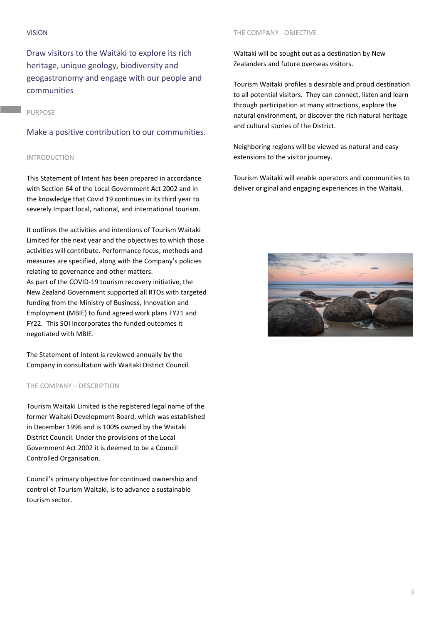#### VISION

Draw visitors to the Waitaki to explore its rich heritage, unique geology, biodiversity and geogastronomy and engage with our people and communities

## PURPOSE

Make a positive contribution to our communities.

## INTRODUCTION

This Statement of Intent has been prepared in accordance with Section 64 of the Local Government Act 2002 and in the knowledge that Covid 19 continues in its third year to severely Impact local, national, and international tourism.

It outlines the activities and intentions of Tourism Waitaki Limited for the next year and the objectives to which those activities will contribute. Performance focus, methods and measures are specified, along with the Company's policies relating to governance and other matters. As part of the COVID-19 tourism recovery initiative, the New Zealand Government supported all RTOs with targeted funding from the Ministry of Business, Innovation and Employment (MBIE) to fund agreed work plans FY21 and FY22. This SOI Incorporates the funded outcomes it negotiated with MBIE.

The Statement of Intent is reviewed annually by the Company in consultation with Waitaki District Council.

## THE COMPANY – DESCRIPTION

Tourism Waitaki Limited is the registered legal name of the former Waitaki Development Board, which was established in December 1996 and is 100% owned by the Waitaki District Council. Under the provisions of the Local Government Act 2002 it is deemed to be a Council Controlled Organisation.

Council's primary objective for continued ownership and control of Tourism Waitaki, is to advance a sustainable tourism sector.

#### THE COMPANY - OBJECTIVE

Waitaki will be sought out as a destination by New Zealanders and future overseas visitors.

Tourism Waitaki profiles a desirable and proud destination to all potential visitors. They can connect, listen and learn through participation at many attractions, explore the natural environment, or discover the rich natural heritage and cultural stories of the District.

Neighboring regions will be viewed as natural and easy extensions to the visitor journey.

Tourism Waitaki will enable operators and communities to deliver original and engaging experiences in the Waitaki.

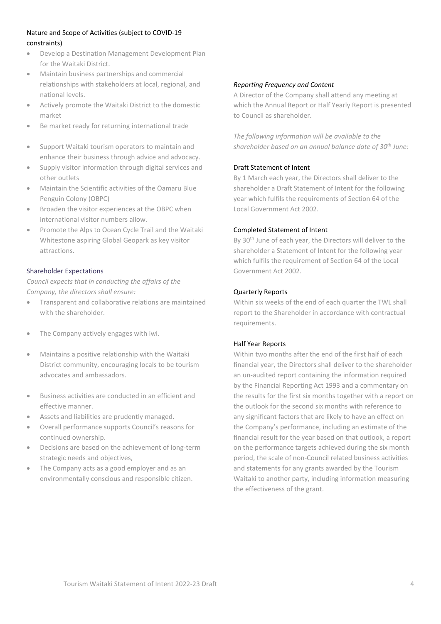## Nature and Scope of Activities (subject to COVID-19 constraints)

- Develop a Destination Management Development Plan for the Waitaki District.
- Maintain business partnerships and commercial relationships with stakeholders at local, regional, and national levels.
- Actively promote the Waitaki District to the domestic market
- Be market ready for returning international trade
- Support Waitaki tourism operators to maintain and enhance their business through advice and advocacy.
- Supply visitor information through digital services and other outlets
- Maintain the Scientific activities of the Ōamaru Blue Penguin Colony (OBPC)
- Broaden the visitor experiences at the OBPC when international visitor numbers allow.
- Promote the Alps to Ocean Cycle Trail and the Waitaki Whitestone aspiring Global Geopark as key visitor attractions.

## Shareholder Expectations

*Council expects that in conducting the affairs of the Company, the directors shall ensure:*

- Transparent and collaborative relations are maintained with the shareholder.
- The Company actively engages with iwi.
- Maintains a positive relationship with the Waitaki District community, encouraging locals to be tourism advocates and ambassadors.
- Business activities are conducted in an efficient and effective manner.
- Assets and liabilities are prudently managed.
- Overall performance supports Council's reasons for continued ownership.
- Decisions are based on the achievement of long-term strategic needs and objectives,
- The Company acts as a good employer and as an environmentally conscious and responsible citizen.

## *Reporting Frequency and Content*

A Director of the Company shall attend any meeting at which the Annual Report or Half Yearly Report is presented to Council as shareholder.

*The following information will be available to the shareholder based on an annual balance date of 30th June:*

## Draft Statement of Intent

By 1 March each year, the Directors shall deliver to the shareholder a Draft Statement of Intent for the following year which fulfils the requirements of Section 64 of the Local Government Act 2002.

## Completed Statement of Intent

By 30<sup>th</sup> June of each year, the Directors will deliver to the shareholder a Statement of Intent for the following year which fulfils the requirement of Section 64 of the Local Government Act 2002.

## Quarterly Reports

Within six weeks of the end of each quarter the TWL shall report to the Shareholder in accordance with contractual requirements.

## Half Year Reports

Within two months after the end of the first half of each financial year, the Directors shall deliver to the shareholder an un-audited report containing the information required by the Financial Reporting Act 1993 and a commentary on the results for the first six months together with a report on the outlook for the second six months with reference to any significant factors that are likely to have an effect on the Company's performance, including an estimate of the financial result for the year based on that outlook, a report on the performance targets achieved during the six month period, the scale of non-Council related business activities and statements for any grants awarded by the Tourism Waitaki to another party, including information measuring the effectiveness of the grant.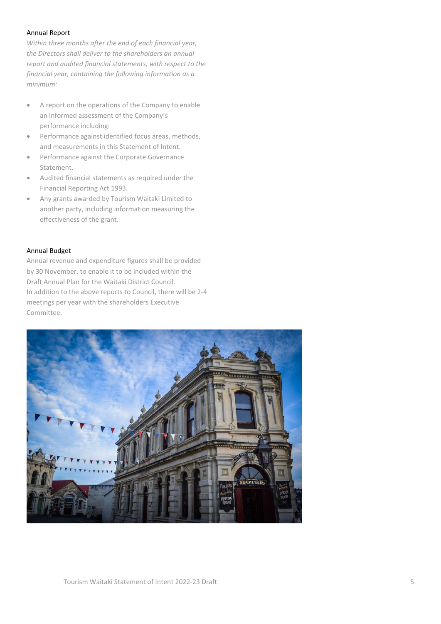#### Annual Report

*Within three months after the end of each financial year, the Directors shall deliver to the shareholders an annual report and audited financial statements, with respect to the financial year, containing the following information as a minimum:*

- A report on the operations of the Company to enable an informed assessment of the Company's performance including:
- Performance against identified focus areas, methods, and measurements in this Statement of Intent.
- Performance against the Corporate Governance Statement.
- Audited financial statements as required under the Financial Reporting Act 1993.
- Any grants awarded by Tourism Waitaki Limited to another party, including information measuring the effectiveness of the grant.

## Annual Budget

Annual revenue and expenditure figures shall be provided by 30 November, to enable it to be included within the Draft Annual Plan for the Waitaki District Council. In addition to the above reports to Council, there will be 2-4 meetings per year with the shareholders Executive Committee.

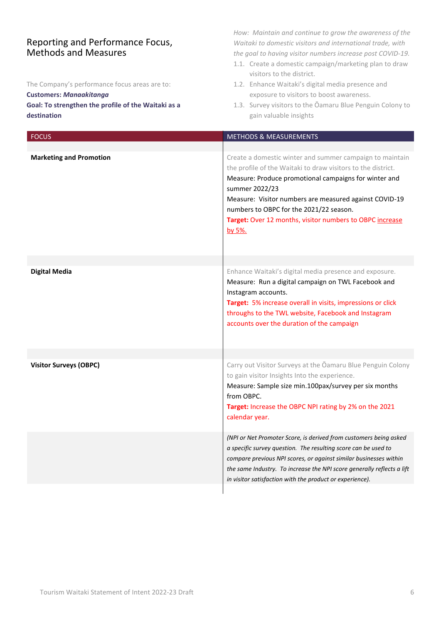## Reporting and Performance Focus, Methods and Measures

The Company's performance focus areas are to:

## **Customers:** *Manaakitanga*

## **Goal: To strengthen the profile of the Waitaki as a destination**

*How: Maintain and continue to grow the awareness of the Waitaki to domestic visitors and international trade, with the goal to having visitor numbers increase post COVID-19.*

- 1.1. Create a domestic campaign/marketing plan to draw visitors to the district.
- 1.2. Enhance Waitaki's digital media presence and exposure to visitors to boost awareness.
- 1.3. Survey visitors to the Ōamaru Blue Penguin Colony to gain valuable insights

| <b>FOCUS</b>                   | <b>METHODS &amp; MEASUREMENTS</b>                                                                                                                                                                                                                                                                                                                                              |
|--------------------------------|--------------------------------------------------------------------------------------------------------------------------------------------------------------------------------------------------------------------------------------------------------------------------------------------------------------------------------------------------------------------------------|
|                                |                                                                                                                                                                                                                                                                                                                                                                                |
| <b>Marketing and Promotion</b> | Create a domestic winter and summer campaign to maintain<br>the profile of the Waitaki to draw visitors to the district.<br>Measure: Produce promotional campaigns for winter and<br>summer 2022/23<br>Measure: Visitor numbers are measured against COVID-19<br>numbers to OBPC for the 2021/22 season.<br>Target: Over 12 months, visitor numbers to OBPC increase<br>by 5%. |
| <b>Digital Media</b>           | Enhance Waitaki's digital media presence and exposure.                                                                                                                                                                                                                                                                                                                         |
|                                | Measure: Run a digital campaign on TWL Facebook and<br>Instagram accounts.<br>Target: 5% increase overall in visits, impressions or click<br>throughs to the TWL website, Facebook and Instagram<br>accounts over the duration of the campaign                                                                                                                                 |
| <b>Visitor Surveys (OBPC)</b>  | Carry out Visitor Surveys at the Oamaru Blue Penguin Colony                                                                                                                                                                                                                                                                                                                    |
|                                | to gain visitor Insights Into the experience.<br>Measure: Sample size min.100pax/survey per six months<br>from OBPC.<br>Target: Increase the OBPC NPI rating by 2% on the 2021<br>calendar year.                                                                                                                                                                               |
|                                | (NPI or Net Promoter Score, is derived from customers being asked<br>a specific survey question. The resulting score can be used to<br>compare previous NPI scores, or against similar businesses within<br>the same Industry. To increase the NPI score generally reflects a lift<br>in visitor satisfaction with the product or experience).                                 |
|                                |                                                                                                                                                                                                                                                                                                                                                                                |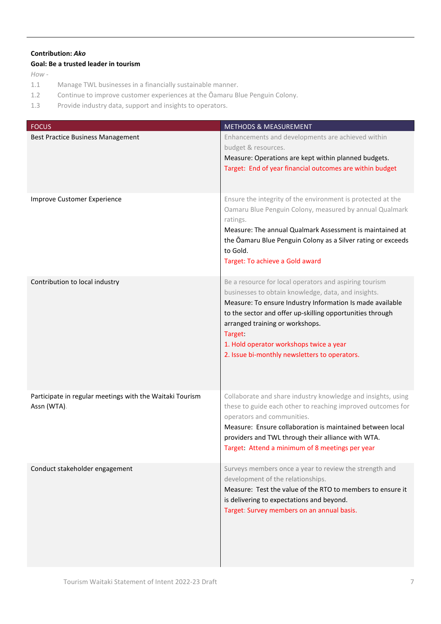## **Contribution:** *Ako*

## **Goal: Be a trusted leader in tourism**

*How -*

- 1.1 Manage TWL businesses in a financially sustainable manner.
- 1.2 Continue to improve customer experiences at the Ōamaru Blue Penguin Colony.
- 1.3 Provide industry data, support and insights to operators.

| <b>FOCUS</b>                                                            | <b>METHODS &amp; MEASUREMENT</b>                                                                                                                                                                                                                                                                                                                                                  |
|-------------------------------------------------------------------------|-----------------------------------------------------------------------------------------------------------------------------------------------------------------------------------------------------------------------------------------------------------------------------------------------------------------------------------------------------------------------------------|
| <b>Best Practice Business Management</b>                                | Enhancements and developments are achieved within<br>budget & resources.<br>Measure: Operations are kept within planned budgets.<br>Target: End of year financial outcomes are within budget                                                                                                                                                                                      |
| Improve Customer Experience                                             | Ensure the integrity of the environment is protected at the<br>Oamaru Blue Penguin Colony, measured by annual Qualmark<br>ratings.<br>Measure: The annual Qualmark Assessment is maintained at<br>the Oamaru Blue Penguin Colony as a Silver rating or exceeds<br>to Gold.<br>Target: To achieve a Gold award                                                                     |
| Contribution to local industry                                          | Be a resource for local operators and aspiring tourism<br>businesses to obtain knowledge, data, and insights.<br>Measure: To ensure Industry Information Is made available<br>to the sector and offer up-skilling opportunities through<br>arranged training or workshops.<br>Target:<br>1. Hold operator workshops twice a year<br>2. Issue bi-monthly newsletters to operators. |
| Participate in regular meetings with the Waitaki Tourism<br>Assn (WTA). | Collaborate and share industry knowledge and insights, using<br>these to guide each other to reaching improved outcomes for<br>operators and communities.<br>Measure: Ensure collaboration is maintained between local<br>providers and TWL through their alliance with WTA.<br>Target: Attend a minimum of 8 meetings per year                                                   |
| Conduct stakeholder engagement                                          | Surveys members once a year to review the strength and<br>development of the relationships.<br>Measure: Test the value of the RTO to members to ensure it<br>is delivering to expectations and beyond.<br>Target: Survey members on an annual basis.                                                                                                                              |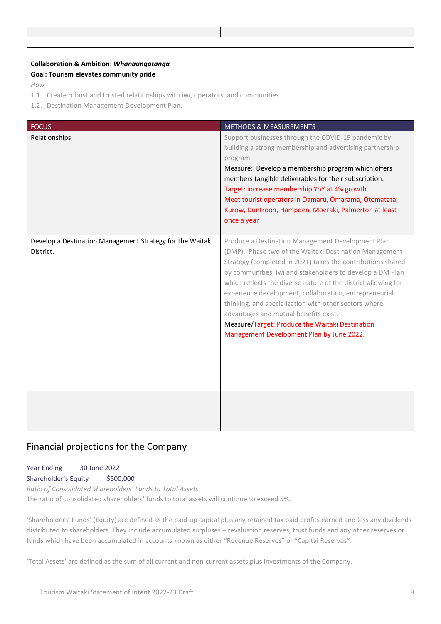## **Collaboration & Ambition:** *Whanaungatanga* **Goal: Tourism elevates community pride**

*How -*

- 1.1. Create robust and trusted relationships with iwi, operators, and communities.
- 1.2. Destination Management Development Plan.

| <b>FOCUS</b>                                                           | <b>METHODS &amp; MEASUREMENTS</b>                                                                                                                                                                                                                                                                                                                                                                                                                                                                                                                                     |
|------------------------------------------------------------------------|-----------------------------------------------------------------------------------------------------------------------------------------------------------------------------------------------------------------------------------------------------------------------------------------------------------------------------------------------------------------------------------------------------------------------------------------------------------------------------------------------------------------------------------------------------------------------|
| Relationships                                                          | Support businesses through the COVID-19 pandemic by<br>building a strong membership and advertising partnership<br>program.<br>Measure: Develop a membership program which offers<br>members tangible deliverables for their subscription.<br>Target: increase membership YoY at 4% growth.<br>Meet tourist operators in Ōamaru, Ōmarama, Ōtematata,<br>Kurow, Duntroon, Hampden, Moeraki, Palmerton at least<br>once a year                                                                                                                                          |
| Develop a Destination Management Strategy for the Waitaki<br>District. | Produce a Destination Management Development Plan<br>(DMP). Phase two of the Waitaki Destination Management<br>Strategy (completed in 2021) takes the contributions shared<br>by communities, Iwi and stakeholders to develop a DM Plan<br>which reflects the diverse nature of the district allowing for<br>experience development, collaboration, entrepreneurial<br>thinking, and specialization with other sectors where<br>advantages and mutual benefits exist.<br>Measure/Target: Produce the Waitaki Destination<br>Management Development Plan by June 2022. |
|                                                                        |                                                                                                                                                                                                                                                                                                                                                                                                                                                                                                                                                                       |

# Financial projections for the Company

Year Ending 30 June 2022 Shareholder's Equity \$500,000 *Ratio of Consolidated Shareholders' Funds to Total Assets*

The ratio of consolidated shareholders' funds to total assets will continue to exceed 5%.

'Shareholders' Funds' (Equity) are defined as the paid-up capital plus any retained tax paid profits earned and less any dividends distributed to shareholders. They include accumulated surpluses – revaluation reserves, trust funds and any other reserves or funds which have been accumulated in accounts known as either "Revenue Reserves" or "Capital Reserves".

'Total Assets' are defined as the sum of all current and non-current assets plus investments of the Company.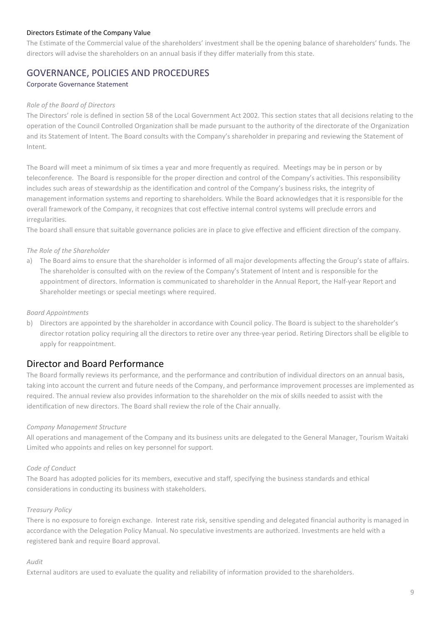## Directors Estimate of the Company Value

The Estimate of the Commercial value of the shareholders' investment shall be the opening balance of shareholders' funds. The directors will advise the shareholders on an annual basis if they differ materially from this state.

## GOVERNANCE, POLICIES AND PROCEDURES

## Corporate Governance Statement

#### *Role of the Board of Directors*

The Directors' role is defined in section 58 of the Local Government Act 2002. This section states that all decisions relating to the operation of the Council Controlled Organization shall be made pursuant to the authority of the directorate of the Organization and its Statement of Intent. The Board consults with the Company's shareholder in preparing and reviewing the Statement of Intent.

The Board will meet a minimum of six times a year and more frequently as required. Meetings may be in person or by teleconference. The Board is responsible for the proper direction and control of the Company's activities. This responsibility includes such areas of stewardship as the identification and control of the Company's business risks, the integrity of management information systems and reporting to shareholders. While the Board acknowledges that it is responsible for the overall framework of the Company, it recognizes that cost effective internal control systems will preclude errors and irregularities.

The board shall ensure that suitable governance policies are in place to give effective and efficient direction of the company.

#### *The Role of the Shareholder*

a) The Board aims to ensure that the shareholder is informed of all major developments affecting the Group's state of affairs. The shareholder is consulted with on the review of the Company's Statement of Intent and is responsible for the appointment of directors. Information is communicated to shareholder in the Annual Report, the Half-year Report and Shareholder meetings or special meetings where required.

#### *Board Appointments*

b) Directors are appointed by the shareholder in accordance with Council policy. The Board is subject to the shareholder's director rotation policy requiring all the directors to retire over any three-year period. Retiring Directors shall be eligible to apply for reappointment.

## Director and Board Performance

The Board formally reviews its performance, and the performance and contribution of individual directors on an annual basis, taking into account the current and future needs of the Company, and performance improvement processes are implemented as required. The annual review also provides information to the shareholder on the mix of skills needed to assist with the identification of new directors. The Board shall review the role of the Chair annually.

#### *Company Management Structure*

All operations and management of the Company and its business units are delegated to the General Manager, Tourism Waitaki Limited who appoints and relies on key personnel for support.

#### *Code of Conduct*

The Board has adopted policies for its members, executive and staff, specifying the business standards and ethical considerations in conducting its business with stakeholders.

#### *Treasury Policy*

There is no exposure to foreign exchange. Interest rate risk, sensitive spending and delegated financial authority is managed in accordance with the Delegation Policy Manual. No speculative investments are authorized. Investments are held with a registered bank and require Board approval.

#### *Audit*

External auditors are used to evaluate the quality and reliability of information provided to the shareholders.